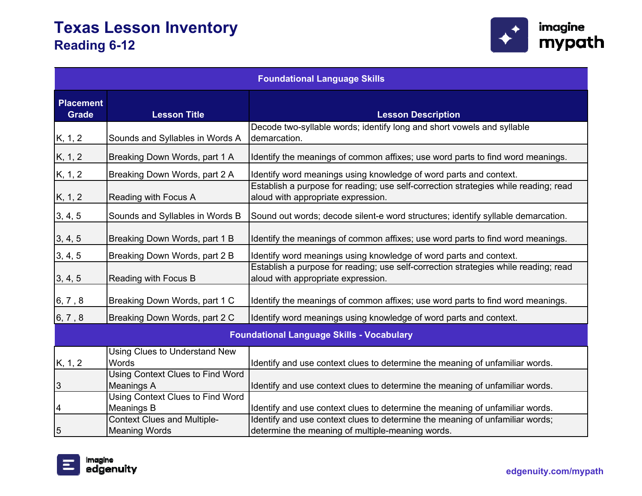

| <b>Foundational Language Skills</b>              |                                                            |                                                                                                                                  |
|--------------------------------------------------|------------------------------------------------------------|----------------------------------------------------------------------------------------------------------------------------------|
| <b>Placement</b><br><b>Grade</b>                 | <b>Lesson Title</b>                                        | <b>Lesson Description</b>                                                                                                        |
| K, 1, 2                                          | Sounds and Syllables in Words A                            | Decode two-syllable words; identify long and short vowels and syllable<br>demarcation.                                           |
| K, 1, 2                                          | Breaking Down Words, part 1 A                              | Identify the meanings of common affixes; use word parts to find word meanings.                                                   |
| K, 1, 2                                          | Breaking Down Words, part 2 A                              | Identify word meanings using knowledge of word parts and context.                                                                |
| K, 1, 2                                          | Reading with Focus A                                       | Establish a purpose for reading; use self-correction strategies while reading; read<br>aloud with appropriate expression.        |
| 3, 4, 5                                          | Sounds and Syllables in Words B                            | Sound out words; decode silent-e word structures; identify syllable demarcation.                                                 |
| 3, 4, 5                                          | Breaking Down Words, part 1 B                              | Identify the meanings of common affixes; use word parts to find word meanings.                                                   |
| 3, 4, 5                                          | Breaking Down Words, part 2 B                              | Identify word meanings using knowledge of word parts and context.                                                                |
| 3, 4, 5                                          | <b>Reading with Focus B</b>                                | Establish a purpose for reading; use self-correction strategies while reading; read<br>aloud with appropriate expression.        |
| 6, 7, 8                                          | Breaking Down Words, part 1 C                              | Identify the meanings of common affixes; use word parts to find word meanings.                                                   |
| 6, 7, 8                                          | Breaking Down Words, part 2 C                              | Identify word meanings using knowledge of word parts and context.                                                                |
| <b>Foundational Language Skills - Vocabulary</b> |                                                            |                                                                                                                                  |
| K, 1, 2                                          | Using Clues to Understand New<br><b>Words</b>              | Identify and use context clues to determine the meaning of unfamiliar words.                                                     |
| $\overline{3}$                                   | <b>Using Context Clues to Find Word</b><br>Meanings A      | Identify and use context clues to determine the meaning of unfamiliar words.                                                     |
| $\overline{4}$                                   | Using Context Clues to Find Word<br>Meanings B             | Identify and use context clues to determine the meaning of unfamiliar words.                                                     |
| 5                                                | <b>Context Clues and Multiple-</b><br><b>Meaning Words</b> | Identify and use context clues to determine the meaning of unfamiliar words;<br>determine the meaning of multiple-meaning words. |

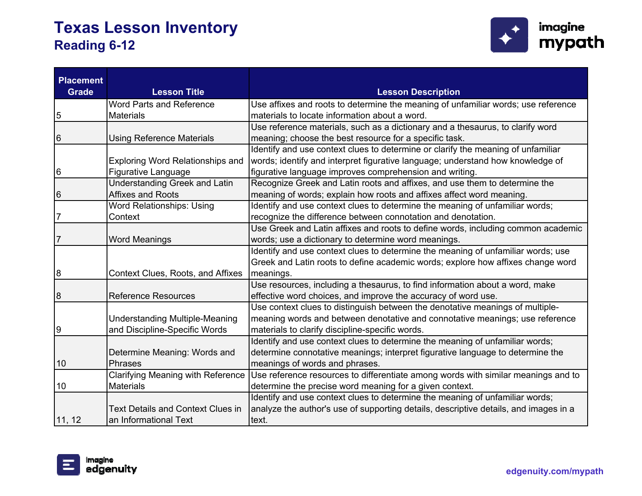

| <b>Placement</b><br><b>Grade</b> | <b>Lesson Title</b>                      | <b>Lesson Description</b>                                                            |
|----------------------------------|------------------------------------------|--------------------------------------------------------------------------------------|
|                                  | <b>Word Parts and Reference</b>          | Use affixes and roots to determine the meaning of unfamiliar words; use reference    |
| 5                                | <b>Materials</b>                         | materials to locate information about a word.                                        |
|                                  |                                          | Use reference materials, such as a dictionary and a thesaurus, to clarify word       |
| 6                                | <b>Using Reference Materials</b>         | meaning; choose the best resource for a specific task.                               |
|                                  |                                          | Identify and use context clues to determine or clarify the meaning of unfamiliar     |
|                                  | <b>Exploring Word Relationships and</b>  | words; identify and interpret figurative language; understand how knowledge of       |
| 6                                | Figurative Language                      | figurative language improves comprehension and writing.                              |
|                                  | <b>Understanding Greek and Latin</b>     | Recognize Greek and Latin roots and affixes, and use them to determine the           |
| 6                                | <b>Affixes and Roots</b>                 | meaning of words; explain how roots and affixes affect word meaning.                 |
|                                  | Word Relationships: Using                | Identify and use context clues to determine the meaning of unfamiliar words;         |
| 7                                | Context                                  | recognize the difference between connotation and denotation.                         |
|                                  |                                          | Use Greek and Latin affixes and roots to define words, including common academic     |
| 7                                | <b>Word Meanings</b>                     | words; use a dictionary to determine word meanings.                                  |
|                                  |                                          | Identify and use context clues to determine the meaning of unfamiliar words; use     |
|                                  |                                          | Greek and Latin roots to define academic words; explore how affixes change word      |
| 8                                | Context Clues, Roots, and Affixes        | meanings.                                                                            |
|                                  |                                          | Use resources, including a thesaurus, to find information about a word, make         |
| 8                                | <b>Reference Resources</b>               | effective word choices, and improve the accuracy of word use.                        |
|                                  |                                          | Use context clues to distinguish between the denotative meanings of multiple-        |
|                                  | <b>Understanding Multiple-Meaning</b>    | meaning words and between denotative and connotative meanings; use reference         |
| 9                                | and Discipline-Specific Words            | materials to clarify discipline-specific words.                                      |
|                                  |                                          | Identify and use context clues to determine the meaning of unfamiliar words;         |
|                                  | Determine Meaning: Words and             | determine connotative meanings; interpret figurative language to determine the       |
| 10                               | <b>Phrases</b>                           | meanings of words and phrases.                                                       |
|                                  | Clarifying Meaning with Reference        | Use reference resources to differentiate among words with similar meanings and to    |
| 10                               | <b>Materials</b>                         | determine the precise word meaning for a given context.                              |
|                                  |                                          | Identify and use context clues to determine the meaning of unfamiliar words;         |
|                                  | <b>Text Details and Context Clues in</b> | analyze the author's use of supporting details, descriptive details, and images in a |
| 11, 12                           | an Informational Text                    | text.                                                                                |

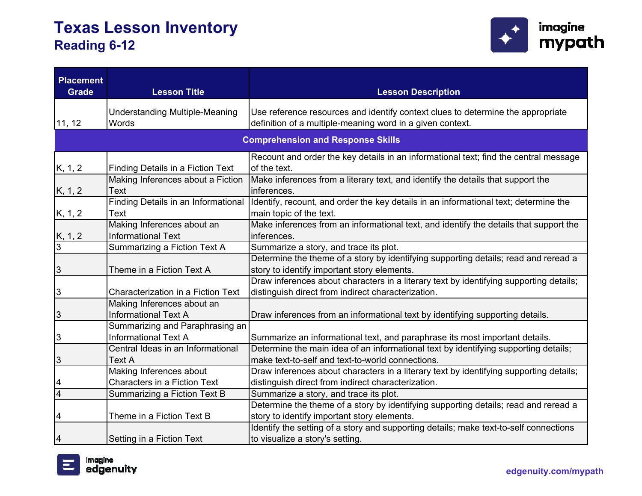

| <b>Placement</b><br><b>Grade</b>         | <b>Lesson Title</b>                                            | <b>Lesson Description</b>                                                                                                                    |
|------------------------------------------|----------------------------------------------------------------|----------------------------------------------------------------------------------------------------------------------------------------------|
| 11, 12                                   | <b>Understanding Multiple-Meaning</b><br>Words                 | Use reference resources and identify context clues to determine the appropriate<br>definition of a multiple-meaning word in a given context. |
| <b>Comprehension and Response Skills</b> |                                                                |                                                                                                                                              |
| K, 1, 2                                  | <b>Finding Details in a Fiction Text</b>                       | Recount and order the key details in an informational text; find the central message<br>of the text.                                         |
| K, 1, 2                                  | Making Inferences about a Fiction<br>Text                      | Make inferences from a literary text, and identify the details that support the<br>inferences.                                               |
| K, 1, 2                                  | Finding Details in an Informational<br><b>Text</b>             | Identify, recount, and order the key details in an informational text; determine the<br>main topic of the text.                              |
| $\frac{K, 1, 2}{3}$                      | Making Inferences about an<br><b>Informational Text</b>        | Make inferences from an informational text, and identify the details that support the<br>inferences.                                         |
|                                          | Summarizing a Fiction Text A                                   | Summarize a story, and trace its plot.                                                                                                       |
| $\overline{3}$                           | Theme in a Fiction Text A                                      | Determine the theme of a story by identifying supporting details; read and reread a<br>story to identify important story elements.           |
| $\overline{3}$                           | Characterization in a Fiction Text                             | Draw inferences about characters in a literary text by identifying supporting details;<br>distinguish direct from indirect characterization. |
| $\overline{3}$                           | Making Inferences about an<br><b>Informational Text A</b>      | Draw inferences from an informational text by identifying supporting details.                                                                |
| 3                                        | Summarizing and Paraphrasing an<br><b>Informational Text A</b> | Summarize an informational text, and paraphrase its most important details.                                                                  |
|                                          | Central Ideas in an Informational                              | Determine the main idea of an informational text by identifying supporting details;                                                          |
| $\overline{3}$                           | Text A                                                         | make text-to-self and text-to-world connections.                                                                                             |
|                                          | Making Inferences about                                        | Draw inferences about characters in a literary text by identifying supporting details;                                                       |
| $\overline{\mathcal{A}}$                 | <b>Characters in a Fiction Text</b>                            | distinguish direct from indirect characterization.                                                                                           |
| $\overline{4}$                           | Summarizing a Fiction Text B                                   | Summarize a story, and trace its plot.                                                                                                       |
| 4                                        | Theme in a Fiction Text B                                      | Determine the theme of a story by identifying supporting details; read and reread a<br>story to identify important story elements.           |
| 4                                        | Setting in a Fiction Text                                      | Identify the setting of a story and supporting details; make text-to-self connections<br>to visualize a story's setting.                     |

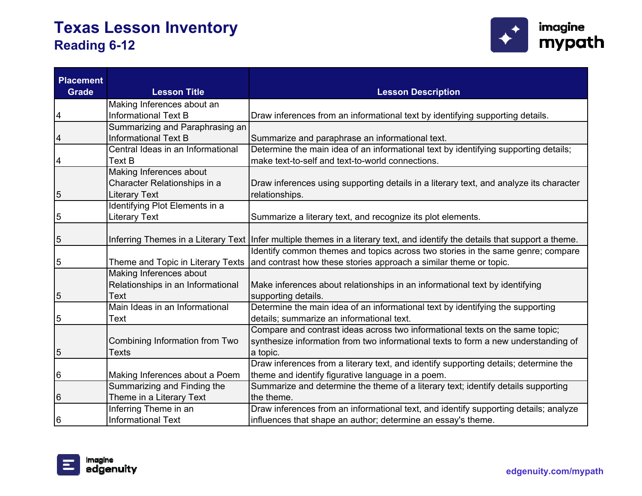

| <b>Placement</b><br><b>Grade</b> | <b>Lesson Title</b>                                                                                                                                                                                                                     | <b>Lesson Description</b>                                                                                                                                                                                                                                                                                                                                                                                                                                                                                                                                                                                                                                                                                                                                                                                                   |
|----------------------------------|-----------------------------------------------------------------------------------------------------------------------------------------------------------------------------------------------------------------------------------------|-----------------------------------------------------------------------------------------------------------------------------------------------------------------------------------------------------------------------------------------------------------------------------------------------------------------------------------------------------------------------------------------------------------------------------------------------------------------------------------------------------------------------------------------------------------------------------------------------------------------------------------------------------------------------------------------------------------------------------------------------------------------------------------------------------------------------------|
|                                  |                                                                                                                                                                                                                                         |                                                                                                                                                                                                                                                                                                                                                                                                                                                                                                                                                                                                                                                                                                                                                                                                                             |
|                                  | Making Inferences about an                                                                                                                                                                                                              |                                                                                                                                                                                                                                                                                                                                                                                                                                                                                                                                                                                                                                                                                                                                                                                                                             |
| 4                                | <b>Informational Text B</b>                                                                                                                                                                                                             | Draw inferences from an informational text by identifying supporting details.                                                                                                                                                                                                                                                                                                                                                                                                                                                                                                                                                                                                                                                                                                                                               |
|                                  | Summarizing and Paraphrasing an                                                                                                                                                                                                         |                                                                                                                                                                                                                                                                                                                                                                                                                                                                                                                                                                                                                                                                                                                                                                                                                             |
| 4                                | <b>Informational Text B</b>                                                                                                                                                                                                             | Summarize and paraphrase an informational text.                                                                                                                                                                                                                                                                                                                                                                                                                                                                                                                                                                                                                                                                                                                                                                             |
|                                  | Central Ideas in an Informational                                                                                                                                                                                                       | Determine the main idea of an informational text by identifying supporting details;                                                                                                                                                                                                                                                                                                                                                                                                                                                                                                                                                                                                                                                                                                                                         |
| 4                                | <b>Text B</b>                                                                                                                                                                                                                           | make text-to-self and text-to-world connections.                                                                                                                                                                                                                                                                                                                                                                                                                                                                                                                                                                                                                                                                                                                                                                            |
|                                  | Making Inferences about                                                                                                                                                                                                                 |                                                                                                                                                                                                                                                                                                                                                                                                                                                                                                                                                                                                                                                                                                                                                                                                                             |
|                                  | Character Relationships in a                                                                                                                                                                                                            | Draw inferences using supporting details in a literary text, and analyze its character                                                                                                                                                                                                                                                                                                                                                                                                                                                                                                                                                                                                                                                                                                                                      |
| 5                                | <b>Literary Text</b>                                                                                                                                                                                                                    | relationships.                                                                                                                                                                                                                                                                                                                                                                                                                                                                                                                                                                                                                                                                                                                                                                                                              |
|                                  | Identifying Plot Elements in a                                                                                                                                                                                                          |                                                                                                                                                                                                                                                                                                                                                                                                                                                                                                                                                                                                                                                                                                                                                                                                                             |
| 5                                | <b>Literary Text</b>                                                                                                                                                                                                                    | Summarize a literary text, and recognize its plot elements.                                                                                                                                                                                                                                                                                                                                                                                                                                                                                                                                                                                                                                                                                                                                                                 |
|                                  |                                                                                                                                                                                                                                         |                                                                                                                                                                                                                                                                                                                                                                                                                                                                                                                                                                                                                                                                                                                                                                                                                             |
| 5                                |                                                                                                                                                                                                                                         | Inferring Themes in a Literary Text   Infer multiple themes in a literary text, and identify the details that support a theme.                                                                                                                                                                                                                                                                                                                                                                                                                                                                                                                                                                                                                                                                                              |
|                                  |                                                                                                                                                                                                                                         | Identify common themes and topics across two stories in the same genre; compare                                                                                                                                                                                                                                                                                                                                                                                                                                                                                                                                                                                                                                                                                                                                             |
|                                  | Theme and Topic in Literary Texts                                                                                                                                                                                                       | and contrast how these stories approach a similar theme or topic.                                                                                                                                                                                                                                                                                                                                                                                                                                                                                                                                                                                                                                                                                                                                                           |
|                                  | Making Inferences about                                                                                                                                                                                                                 |                                                                                                                                                                                                                                                                                                                                                                                                                                                                                                                                                                                                                                                                                                                                                                                                                             |
|                                  |                                                                                                                                                                                                                                         |                                                                                                                                                                                                                                                                                                                                                                                                                                                                                                                                                                                                                                                                                                                                                                                                                             |
|                                  | Text                                                                                                                                                                                                                                    |                                                                                                                                                                                                                                                                                                                                                                                                                                                                                                                                                                                                                                                                                                                                                                                                                             |
|                                  | Main Ideas in an Informational                                                                                                                                                                                                          |                                                                                                                                                                                                                                                                                                                                                                                                                                                                                                                                                                                                                                                                                                                                                                                                                             |
|                                  |                                                                                                                                                                                                                                         |                                                                                                                                                                                                                                                                                                                                                                                                                                                                                                                                                                                                                                                                                                                                                                                                                             |
|                                  |                                                                                                                                                                                                                                         |                                                                                                                                                                                                                                                                                                                                                                                                                                                                                                                                                                                                                                                                                                                                                                                                                             |
|                                  |                                                                                                                                                                                                                                         |                                                                                                                                                                                                                                                                                                                                                                                                                                                                                                                                                                                                                                                                                                                                                                                                                             |
|                                  |                                                                                                                                                                                                                                         |                                                                                                                                                                                                                                                                                                                                                                                                                                                                                                                                                                                                                                                                                                                                                                                                                             |
|                                  |                                                                                                                                                                                                                                         |                                                                                                                                                                                                                                                                                                                                                                                                                                                                                                                                                                                                                                                                                                                                                                                                                             |
|                                  |                                                                                                                                                                                                                                         |                                                                                                                                                                                                                                                                                                                                                                                                                                                                                                                                                                                                                                                                                                                                                                                                                             |
|                                  |                                                                                                                                                                                                                                         |                                                                                                                                                                                                                                                                                                                                                                                                                                                                                                                                                                                                                                                                                                                                                                                                                             |
|                                  |                                                                                                                                                                                                                                         |                                                                                                                                                                                                                                                                                                                                                                                                                                                                                                                                                                                                                                                                                                                                                                                                                             |
|                                  |                                                                                                                                                                                                                                         |                                                                                                                                                                                                                                                                                                                                                                                                                                                                                                                                                                                                                                                                                                                                                                                                                             |
|                                  |                                                                                                                                                                                                                                         |                                                                                                                                                                                                                                                                                                                                                                                                                                                                                                                                                                                                                                                                                                                                                                                                                             |
| 5<br>5<br>5<br>5<br>6<br>6<br>6  | Relationships in an Informational<br>Text<br>Combining Information from Two<br>Texts<br>Making Inferences about a Poem<br>Summarizing and Finding the<br>Theme in a Literary Text<br>Inferring Theme in an<br><b>Informational Text</b> | Make inferences about relationships in an informational text by identifying<br>supporting details.<br>Determine the main idea of an informational text by identifying the supporting<br>details; summarize an informational text.<br>Compare and contrast ideas across two informational texts on the same topic;<br>synthesize information from two informational texts to form a new understanding of<br>a topic.<br>Draw inferences from a literary text, and identify supporting details; determine the<br>theme and identify figurative language in a poem.<br>Summarize and determine the theme of a literary text; identify details supporting<br>the theme.<br>Draw inferences from an informational text, and identify supporting details; analyze<br>influences that shape an author; determine an essay's theme. |

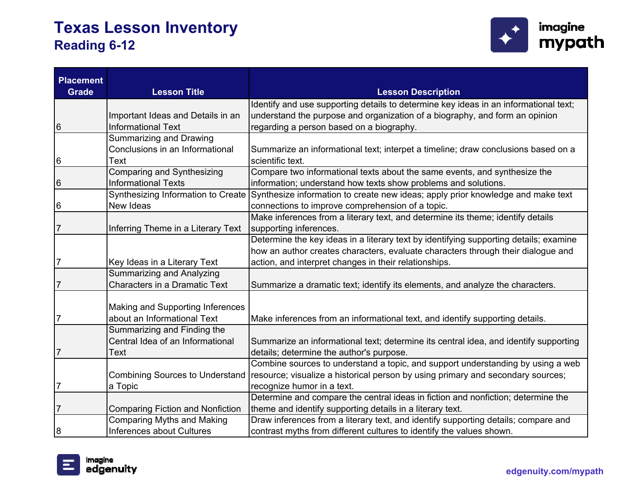

| <b>Placement</b><br><b>Grade</b> | <b>Lesson Title</b>                     | <b>Lesson Description</b>                                                             |
|----------------------------------|-----------------------------------------|---------------------------------------------------------------------------------------|
|                                  |                                         | Identify and use supporting details to determine key ideas in an informational text;  |
|                                  | Important Ideas and Details in an       | understand the purpose and organization of a biography, and form an opinion           |
| 6                                | <b>Informational Text</b>               | regarding a person based on a biography.                                              |
|                                  | Summarizing and Drawing                 |                                                                                       |
|                                  | Conclusions in an Informational         | Summarize an informational text; interpet a timeline; draw conclusions based on a     |
| 6                                | Text                                    | scientific text.                                                                      |
|                                  | <b>Comparing and Synthesizing</b>       | Compare two informational texts about the same events, and synthesize the             |
| 6                                | <b>Informational Texts</b>              | information; understand how texts show problems and solutions.                        |
|                                  | Synthesizing Information to Create      | Synthesize information to create new ideas; apply prior knowledge and make text       |
| 6                                | New Ideas                               | connections to improve comprehension of a topic.                                      |
|                                  |                                         | Make inferences from a literary text, and determine its theme; identify details       |
| 7                                | Inferring Theme in a Literary Text      | supporting inferences.                                                                |
|                                  |                                         | Determine the key ideas in a literary text by identifying supporting details; examine |
|                                  |                                         | how an author creates characters, evaluate characters through their dialogue and      |
| 7                                | Key Ideas in a Literary Text            | action, and interpret changes in their relationships.                                 |
|                                  | <b>Summarizing and Analyzing</b>        |                                                                                       |
| $\overline{7}$                   | Characters in a Dramatic Text           | Summarize a dramatic text; identify its elements, and analyze the characters.         |
|                                  |                                         |                                                                                       |
|                                  | Making and Supporting Inferences        |                                                                                       |
| 7                                | about an Informational Text             | Make inferences from an informational text, and identify supporting details.          |
|                                  | Summarizing and Finding the             |                                                                                       |
|                                  | Central Idea of an Informational        | Summarize an informational text; determine its central idea, and identify supporting  |
| 7                                | Text                                    | details; determine the author's purpose.                                              |
|                                  |                                         | Combine sources to understand a topic, and support understanding by using a web       |
|                                  | <b>Combining Sources to Understand</b>  | resource; visualize a historical person by using primary and secondary sources;       |
| 7                                | a Topic                                 | recognize humor in a text.                                                            |
|                                  |                                         | Determine and compare the central ideas in fiction and nonfiction; determine the      |
| $\overline{7}$                   | <b>Comparing Fiction and Nonfiction</b> | theme and identify supporting details in a literary text.                             |
|                                  | <b>Comparing Myths and Making</b>       | Draw inferences from a literary text, and identify supporting details; compare and    |
| 8                                | Inferences about Cultures               | contrast myths from different cultures to identify the values shown.                  |

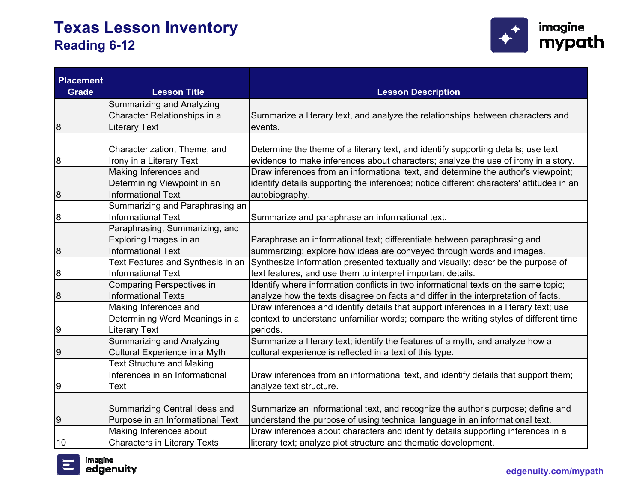

| <b>Placement</b><br><b>Grade</b> | <b>Lesson Title</b>                 | <b>Lesson Description</b>                                                                |
|----------------------------------|-------------------------------------|------------------------------------------------------------------------------------------|
|                                  | <b>Summarizing and Analyzing</b>    |                                                                                          |
|                                  | Character Relationships in a        | Summarize a literary text, and analyze the relationships between characters and          |
| 8                                | <b>Literary Text</b>                | events.                                                                                  |
|                                  |                                     |                                                                                          |
|                                  | Characterization, Theme, and        | Determine the theme of a literary text, and identify supporting details; use text        |
| 8                                | Irony in a Literary Text            | evidence to make inferences about characters; analyze the use of irony in a story.       |
|                                  | Making Inferences and               | Draw inferences from an informational text, and determine the author's viewpoint;        |
|                                  | Determining Viewpoint in an         | identify details supporting the inferences; notice different characters' attitudes in an |
| 8                                | <b>Informational Text</b>           | autobiography.                                                                           |
|                                  | Summarizing and Paraphrasing an     |                                                                                          |
| 8                                | <b>Informational Text</b>           | Summarize and paraphrase an informational text.                                          |
|                                  | Paraphrasing, Summarizing, and      |                                                                                          |
|                                  | Exploring Images in an              | Paraphrase an informational text; differentiate between paraphrasing and                 |
| 8                                | <b>Informational Text</b>           | summarizing; explore how ideas are conveyed through words and images.                    |
|                                  | Text Features and Synthesis in an   | Synthesize information presented textually and visually; describe the purpose of         |
| 8                                | <b>Informational Text</b>           | text features, and use them to interpret important details.                              |
|                                  | <b>Comparing Perspectives in</b>    | Identify where information conflicts in two informational texts on the same topic;       |
| 8                                | <b>Informational Texts</b>          | analyze how the texts disagree on facts and differ in the interpretation of facts.       |
|                                  | Making Inferences and               | Draw inferences and identify details that support inferences in a literary text; use     |
|                                  | Determining Word Meanings in a      | context to understand unfamiliar words; compare the writing styles of different time     |
| 9                                | Literary Text                       | periods.                                                                                 |
|                                  | <b>Summarizing and Analyzing</b>    | Summarize a literary text; identify the features of a myth, and analyze how a            |
| 9                                | Cultural Experience in a Myth       | cultural experience is reflected in a text of this type.                                 |
|                                  | <b>Text Structure and Making</b>    |                                                                                          |
|                                  | Inferences in an Informational      | Draw inferences from an informational text, and identify details that support them;      |
| 9                                | Text                                | analyze text structure.                                                                  |
|                                  | Summarizing Central Ideas and       | Summarize an informational text, and recognize the author's purpose; define and          |
| 9                                | Purpose in an Informational Text    | understand the purpose of using technical language in an informational text.             |
|                                  | Making Inferences about             | Draw inferences about characters and identify details supporting inferences in a         |
| 10                               | <b>Characters in Literary Texts</b> | literary text; analyze plot structure and thematic development.                          |
|                                  |                                     |                                                                                          |

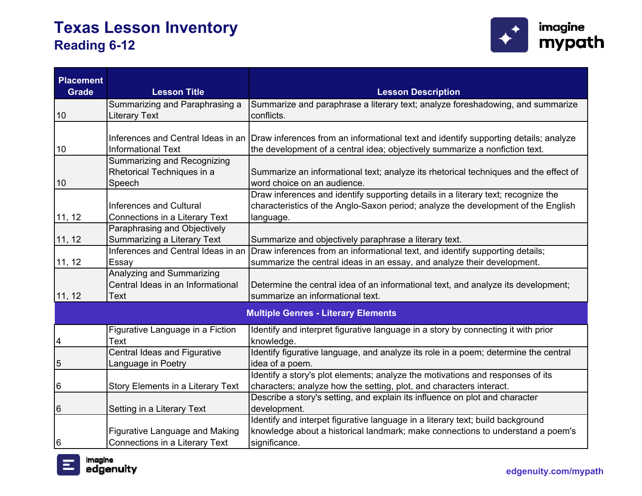

| <b>Placement</b><br><b>Grade</b> | <b>Lesson Title</b>                                                     | <b>Lesson Description</b>                                                                                                                                                           |
|----------------------------------|-------------------------------------------------------------------------|-------------------------------------------------------------------------------------------------------------------------------------------------------------------------------------|
| 10                               | Summarizing and Paraphrasing a<br><b>Literary Text</b>                  | Summarize and paraphrase a literary text; analyze foreshadowing, and summarize<br>conflicts.                                                                                        |
| 10                               | Inferences and Central Ideas in an<br><b>Informational Text</b>         | Draw inferences from an informational text and identify supporting details; analyze<br>the development of a central idea; objectively summarize a nonfiction text.                  |
| 10                               | Summarizing and Recognizing<br>Rhetorical Techniques in a<br>Speech     | Summarize an informational text; analyze its rhetorical techniques and the effect of<br>word choice on an audience.                                                                 |
| 11, 12                           | <b>Inferences and Cultural</b><br>Connections in a Literary Text        | Draw inferences and identify supporting details in a literary text; recognize the<br>characteristics of the Anglo-Saxon period; analyze the development of the English<br>language. |
| 11, 12                           | Paraphrasing and Objectively<br><b>Summarizing a Literary Text</b>      | Summarize and objectively paraphrase a literary text.                                                                                                                               |
| 11, 12                           | Inferences and Central Ideas in an<br>Essay                             | Draw inferences from an informational text, and identify supporting details;<br>summarize the central ideas in an essay, and analyze their development.                             |
| 11, 12                           | Analyzing and Summarizing<br>Central Ideas in an Informational<br>Text  | Determine the central idea of an informational text, and analyze its development;<br>summarize an informational text.                                                               |
|                                  |                                                                         | <b>Multiple Genres - Literary Elements</b>                                                                                                                                          |
| 4                                | Figurative Language in a Fiction<br><b>Text</b>                         | Identify and interpret figurative language in a story by connecting it with prior<br>knowledge.                                                                                     |
| 5                                | Central Ideas and Figurative<br>Language in Poetry                      | Identify figurative language, and analyze its role in a poem; determine the central<br>idea of a poem.                                                                              |
| 6                                | <b>Story Elements in a Literary Text</b>                                | Identify a story's plot elements; analyze the motivations and responses of its<br>characters; analyze how the setting, plot, and characters interact.                               |
| 6                                | Setting in a Literary Text                                              | Describe a story's setting, and explain its influence on plot and character<br>development.                                                                                         |
| 6                                | <b>Figurative Language and Making</b><br>Connections in a Literary Text | Identify and interpet figurative language in a literary text; build background<br>knowledge about a historical landmark; make connections to understand a poem's<br>significance.   |

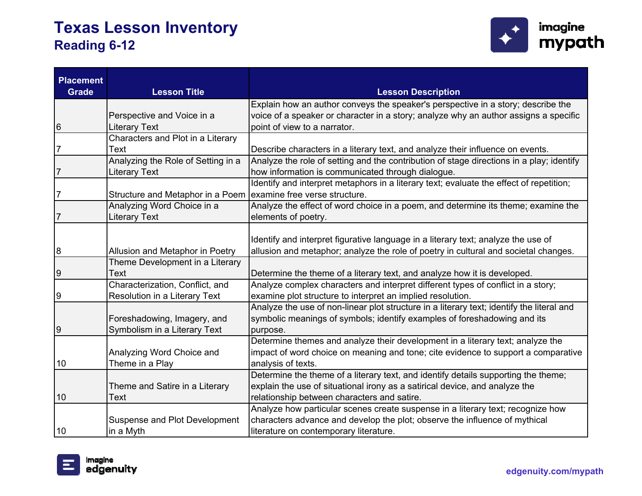

| <b>Placement</b><br><b>Grade</b> | <b>Lesson Title</b>                                              | <b>Lesson Description</b>                                                                                                                                                         |
|----------------------------------|------------------------------------------------------------------|-----------------------------------------------------------------------------------------------------------------------------------------------------------------------------------|
|                                  |                                                                  | Explain how an author conveys the speaker's perspective in a story; describe the                                                                                                  |
|                                  | Perspective and Voice in a                                       | voice of a speaker or character in a story; analyze why an author assigns a specific                                                                                              |
| 6                                | <b>Literary Text</b>                                             | point of view to a narrator.                                                                                                                                                      |
|                                  | Characters and Plot in a Literary                                |                                                                                                                                                                                   |
| 7                                | Text                                                             | Describe characters in a literary text, and analyze their influence on events.                                                                                                    |
|                                  | Analyzing the Role of Setting in a                               | Analyze the role of setting and the contribution of stage directions in a play; identify                                                                                          |
| $\overline{7}$                   | <b>Literary Text</b>                                             | how information is communicated through dialogue.                                                                                                                                 |
|                                  |                                                                  | Identify and interpret metaphors in a literary text; evaluate the effect of repetition;                                                                                           |
| $\overline{7}$                   | Structure and Metaphor in a Poem   examine free verse structure. |                                                                                                                                                                                   |
|                                  | Analyzing Word Choice in a                                       | Analyze the effect of word choice in a poem, and determine its theme; examine the                                                                                                 |
| 7                                | <b>Literary Text</b>                                             | elements of poetry.                                                                                                                                                               |
| 8                                | Allusion and Metaphor in Poetry                                  | Identify and interpret figurative language in a literary text; analyze the use of<br>allusion and metaphor; analyze the role of poetry in cultural and societal changes.          |
|                                  | Theme Development in a Literary                                  |                                                                                                                                                                                   |
| 9                                | Text                                                             | Determine the theme of a literary text, and analyze how it is developed.                                                                                                          |
|                                  | Characterization, Conflict, and                                  | Analyze complex characters and interpret different types of conflict in a story;                                                                                                  |
| 9                                | Resolution in a Literary Text                                    | examine plot structure to interpret an implied resolution.                                                                                                                        |
| 9                                | Foreshadowing, Imagery, and<br>Symbolism in a Literary Text      | Analyze the use of non-linear plot structure in a literary text; identify the literal and<br>symbolic meanings of symbols; identify examples of foreshadowing and its<br>purpose. |
|                                  |                                                                  | Determine themes and analyze their development in a literary text; analyze the                                                                                                    |
| 10                               | Analyzing Word Choice and<br>Theme in a Play                     | impact of word choice on meaning and tone; cite evidence to support a comparative<br>analysis of texts.                                                                           |
|                                  |                                                                  | Determine the theme of a literary text, and identify details supporting the theme;                                                                                                |
|                                  | Theme and Satire in a Literary                                   | explain the use of situational irony as a satirical device, and analyze the                                                                                                       |
| 10                               | Text                                                             | relationship between characters and satire.                                                                                                                                       |
|                                  |                                                                  | Analyze how particular scenes create suspense in a literary text; recognize how                                                                                                   |
|                                  | <b>Suspense and Plot Development</b>                             | characters advance and develop the plot; observe the influence of mythical                                                                                                        |
| 10                               | in a Myth                                                        | literature on contemporary literature.                                                                                                                                            |

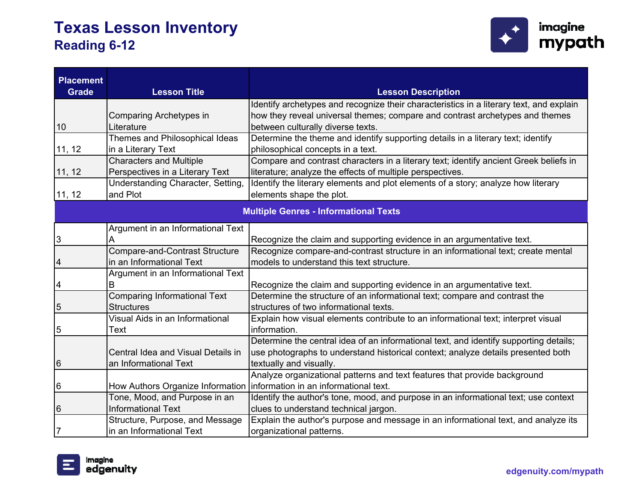

| <b>Placement</b><br><b>Grade</b>             | <b>Lesson Title</b>                   | <b>Lesson Description</b>                                                               |
|----------------------------------------------|---------------------------------------|-----------------------------------------------------------------------------------------|
|                                              |                                       | Identify archetypes and recognize their characteristics in a literary text, and explain |
|                                              | Comparing Archetypes in               | how they reveal universal themes; compare and contrast archetypes and themes            |
| 10                                           | Literature                            | between culturally diverse texts.                                                       |
|                                              | <b>Themes and Philosophical Ideas</b> | Determine the theme and identify supporting details in a literary text; identify        |
| 11, 12                                       | in a Literary Text                    | philosophical concepts in a text.                                                       |
|                                              | <b>Characters and Multiple</b>        | Compare and contrast characters in a literary text; identify ancient Greek beliefs in   |
| 11, 12                                       | Perspectives in a Literary Text       | literature; analyze the effects of multiple perspectives.                               |
|                                              | Understanding Character, Setting,     | Identify the literary elements and plot elements of a story; analyze how literary       |
| 11, 12                                       | and Plot                              | elements shape the plot.                                                                |
| <b>Multiple Genres - Informational Texts</b> |                                       |                                                                                         |
|                                              | Argument in an Informational Text     |                                                                                         |
| 3                                            | A                                     | Recognize the claim and supporting evidence in an argumentative text.                   |
|                                              | <b>Compare-and-Contrast Structure</b> | Recognize compare-and-contrast structure in an informational text; create mental        |
| 4                                            | in an Informational Text              | models to understand this text structure.                                               |
|                                              | Argument in an Informational Text     |                                                                                         |
| 4                                            | B                                     | Recognize the claim and supporting evidence in an argumentative text.                   |
|                                              | <b>Comparing Informational Text</b>   | Determine the structure of an informational text; compare and contrast the              |
| 5                                            | <b>Structures</b>                     | structures of two informational texts.                                                  |
|                                              | Visual Aids in an Informational       | Explain how visual elements contribute to an informational text; interpret visual       |
| 5                                            | Text                                  | information.                                                                            |
|                                              |                                       | Determine the central idea of an informational text, and identify supporting details;   |
|                                              | Central Idea and Visual Details in    | use photographs to understand historical context; analyze details presented both        |
| 6                                            | an Informational Text                 | textually and visually.                                                                 |
|                                              |                                       | Analyze organizational patterns and text features that provide background               |
| 6                                            | How Authors Organize Information      | information in an informational text.                                                   |
|                                              | Tone, Mood, and Purpose in an         | Identify the author's tone, mood, and purpose in an informational text; use context     |
| 6                                            | <b>Informational Text</b>             | clues to understand technical jargon.                                                   |
|                                              | Structure, Purpose, and Message       | Explain the author's purpose and message in an informational text, and analyze its      |
| 7                                            | in an Informational Text              | organizational patterns.                                                                |